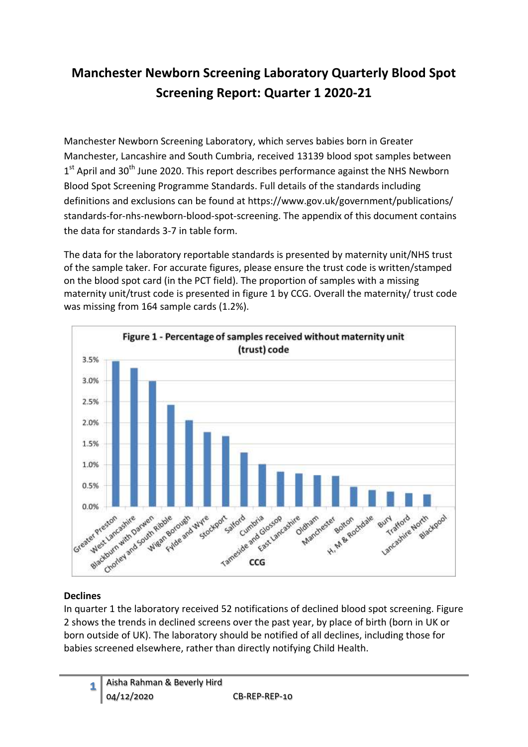# **Manchester Newborn Screening Laboratory Quarterly Blood Spot Screening Report: Quarter 1 2020-21**

Manchester Newborn Screening Laboratory, which serves babies born in Greater Manchester, Lancashire and South Cumbria, received 13139 blood spot samples between 1<sup>st</sup> April and 30<sup>th</sup> June 2020. This report describes performance against the NHS Newborn Blood Spot Screening Programme Standards. Full details of the standards including definitions and exclusions can be found at https://www.gov.uk/government/publications/ standards-for-nhs-newborn-blood-spot-screening. The appendix of this document contains the data for standards 3-7 in table form.

The data for the laboratory reportable standards is presented by maternity unit/NHS trust of the sample taker. For accurate figures, please ensure the trust code is written/stamped on the blood spot card (in the PCT field). The proportion of samples with a missing maternity unit/trust code is presented in figure 1 by CCG. Overall the maternity/ trust code was missing from 164 sample cards (1.2%).



#### **Declines**

In quarter 1 the laboratory received 52 notifications of declined blood spot screening. Figure 2 shows the trends in declined screens over the past year, by place of birth (born in UK or born outside of UK). The laboratory should be notified of all declines, including those for babies screened elsewhere, rather than directly notifying Child Health.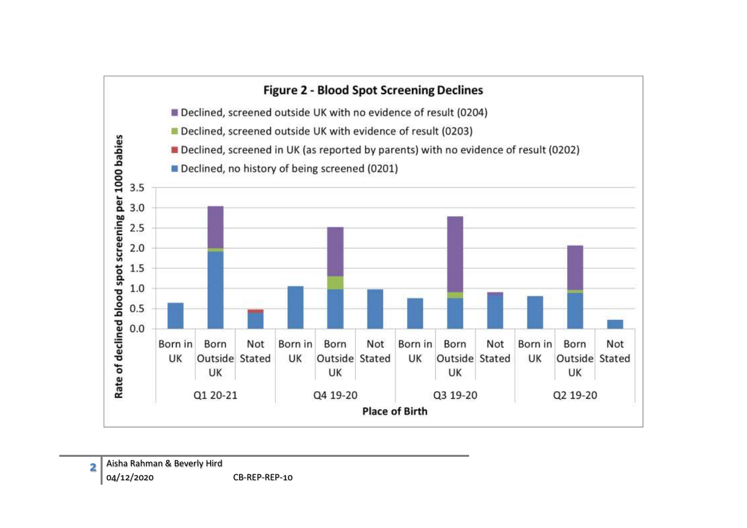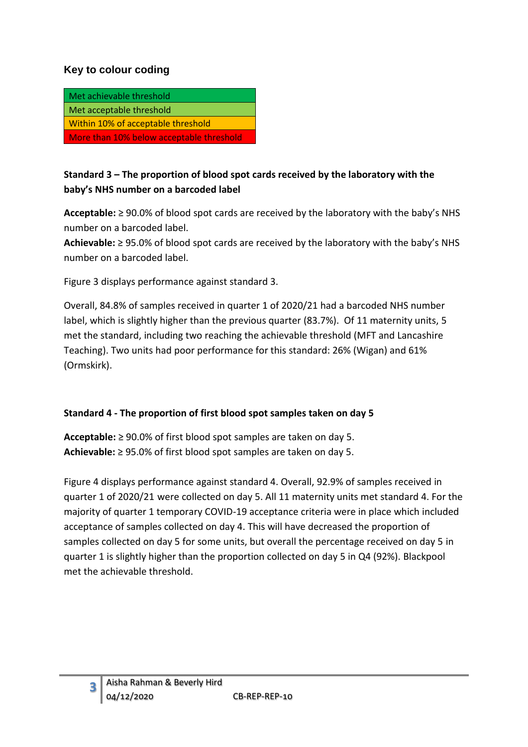#### **Key to colour coding**

| Met achievable threshold                 |
|------------------------------------------|
| Met acceptable threshold                 |
| Within 10% of acceptable threshold       |
| More than 10% below acceptable threshold |

## **Standard 3 – The proportion of blood spot cards received by the laboratory with the baby's NHS number on a barcoded label**

**Acceptable:** ≥ 90.0% of blood spot cards are received by the laboratory with the baby's NHS number on a barcoded label.

**Achievable:** ≥ 95.0% of blood spot cards are received by the laboratory with the baby's NHS number on a barcoded label.

Figure 3 displays performance against standard 3.

Overall, 84.8% of samples received in quarter 1 of 2020/21 had a barcoded NHS number label, which is slightly higher than the previous quarter (83.7%). Of 11 maternity units, 5 met the standard, including two reaching the achievable threshold (MFT and Lancashire Teaching). Two units had poor performance for this standard: 26% (Wigan) and 61% (Ormskirk).

#### **Standard 4 - The proportion of first blood spot samples taken on day 5**

**Acceptable:** ≥ 90.0% of first blood spot samples are taken on day 5. **Achievable:** ≥ 95.0% of first blood spot samples are taken on day 5.

Figure 4 displays performance against standard 4. Overall, 92.9% of samples received in quarter 1 of 2020/21 were collected on day 5. All 11 maternity units met standard 4. For the majority of quarter 1 temporary COVID-19 acceptance criteria were in place which included acceptance of samples collected on day 4. This will have decreased the proportion of samples collected on day 5 for some units, but overall the percentage received on day 5 in quarter 1 is slightly higher than the proportion collected on day 5 in Q4 (92%). Blackpool met the achievable threshold.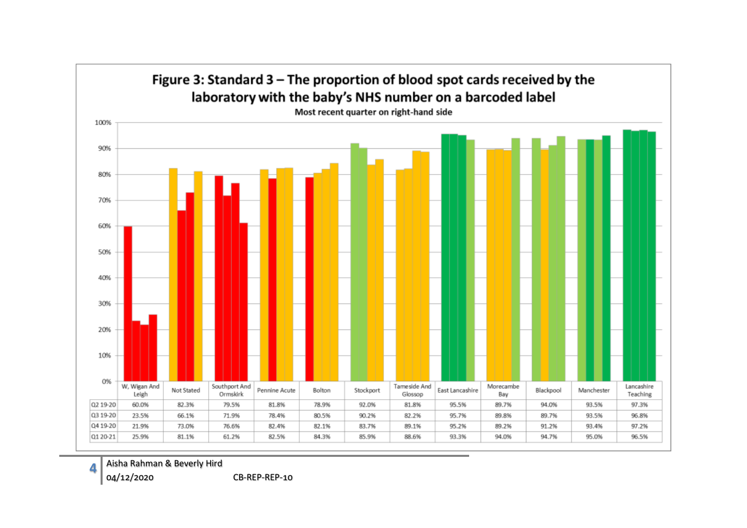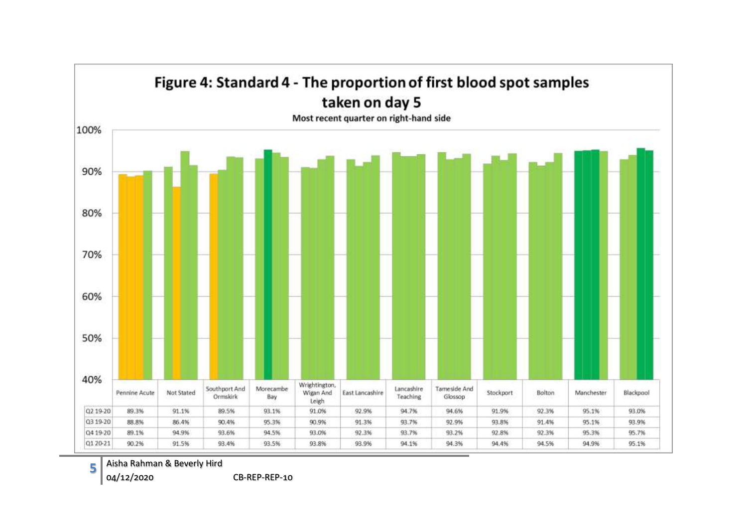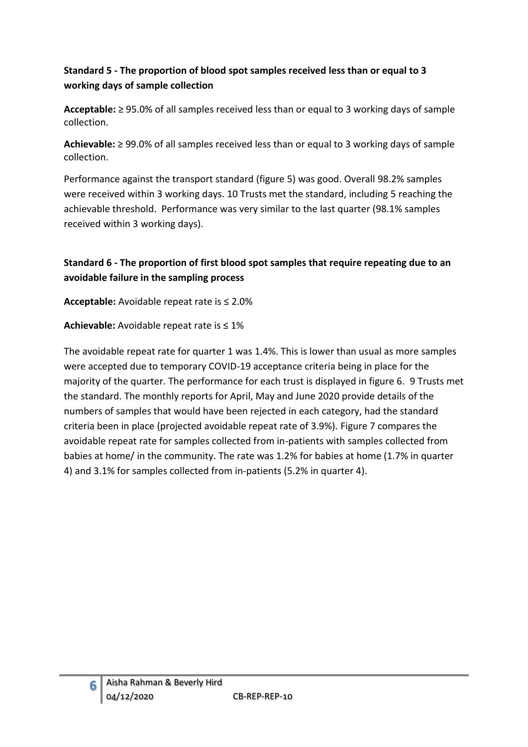## **Standard 5 - The proportion of blood spot samples received less than or equal to 3 working days of sample collection**

**Acceptable:** ≥ 95.0% of all samples received less than or equal to 3 working days of sample collection.

**Achievable:** ≥ 99.0% of all samples received less than or equal to 3 working days of sample collection.

Performance against the transport standard (figure 5) was good. Overall 98.2% samples were received within 3 working days. 10 Trusts met the standard, including 5 reaching the achievable threshold. Performance was very similar to the last quarter (98.1% samples received within 3 working days).

## **Standard 6 - The proportion of first blood spot samples that require repeating due to an avoidable failure in the sampling process**

**Acceptable:** Avoidable repeat rate is ≤ 2.0%

**Achievable:** Avoidable repeat rate is ≤ 1%

The avoidable repeat rate for quarter 1 was 1.4%. This is lower than usual as more samples were accepted due to temporary COVID-19 acceptance criteria being in place for the majority of the quarter. The performance for each trust is displayed in figure 6. 9 Trusts met the standard. The monthly reports for April, May and June 2020 provide details of the numbers of samples that would have been rejected in each category, had the standard criteria been in place (projected avoidable repeat rate of 3.9%). Figure 7 compares the avoidable repeat rate for samples collected from in-patients with samples collected from babies at home/ in the community. The rate was 1.2% for babies at home (1.7% in quarter 4) and 3.1% for samples collected from in-patients (5.2% in quarter 4).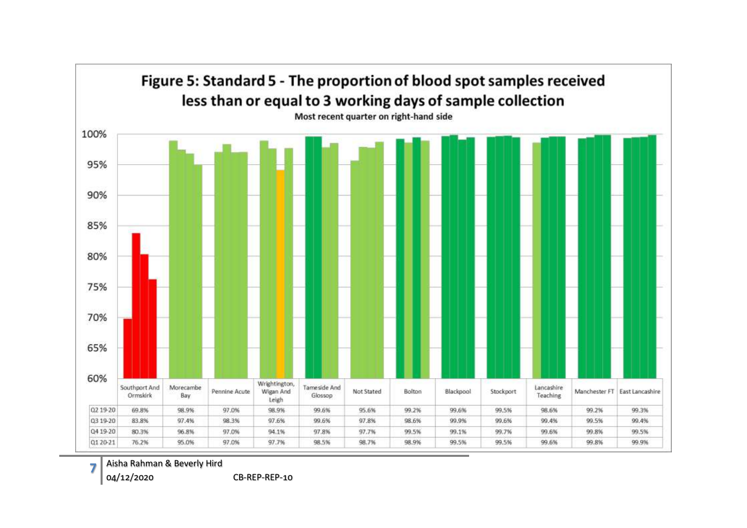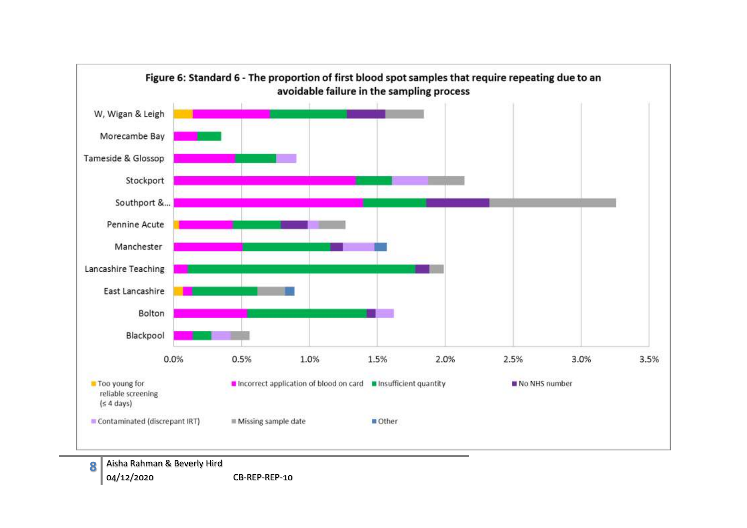

**8**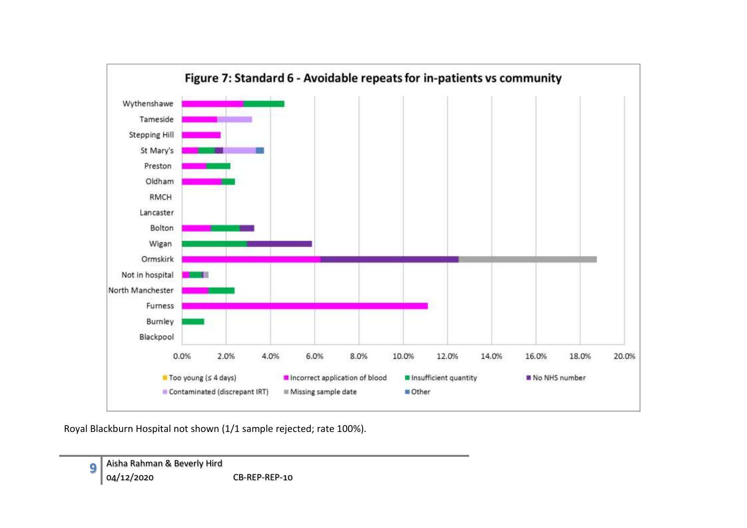

Royal Blackburn Hospital not shown (1/1 sample rejected; rate 100%).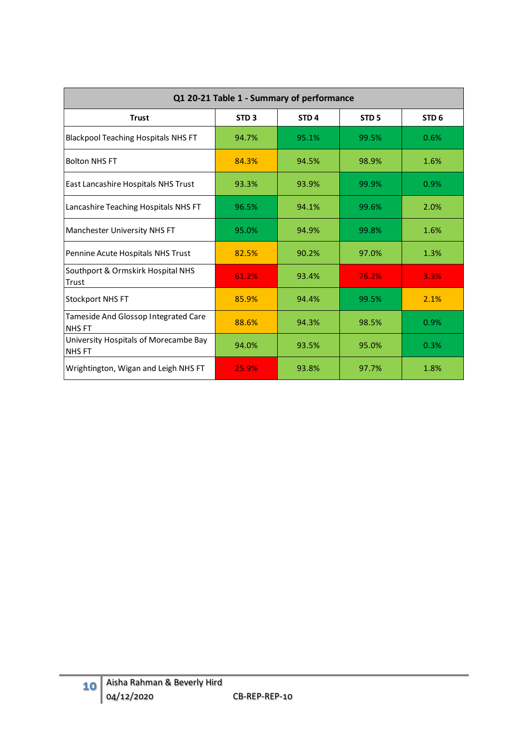| Q1 20-21 Table 1 - Summary of performance             |                  |                  |                  |                  |  |  |  |  |  |  |  |  |
|-------------------------------------------------------|------------------|------------------|------------------|------------------|--|--|--|--|--|--|--|--|
| <b>Trust</b>                                          | STD <sub>3</sub> | STD <sub>4</sub> | STD <sub>5</sub> | STD <sub>6</sub> |  |  |  |  |  |  |  |  |
| <b>Blackpool Teaching Hospitals NHS FT</b>            | 94.7%            | 95.1%            | 99.5%            | 0.6%             |  |  |  |  |  |  |  |  |
| <b>Bolton NHS FT</b>                                  | 84.3%            | 94.5%            | 98.9%            | 1.6%             |  |  |  |  |  |  |  |  |
| East Lancashire Hospitals NHS Trust                   | 93.3%            | 93.9%            | 99.9%            | 0.9%             |  |  |  |  |  |  |  |  |
| Lancashire Teaching Hospitals NHS FT                  | 96.5%            | 94.1%            | 99.6%            | 2.0%             |  |  |  |  |  |  |  |  |
| Manchester University NHS FT                          | 95.0%            | 94.9%            | 99.8%            | 1.6%             |  |  |  |  |  |  |  |  |
| Pennine Acute Hospitals NHS Trust                     | 82.5%            | 90.2%            | 97.0%            | 1.3%             |  |  |  |  |  |  |  |  |
| Southport & Ormskirk Hospital NHS<br>Trust            | 61.2%            | 93.4%            | 76.2%            | 3.3%             |  |  |  |  |  |  |  |  |
| <b>Stockport NHS FT</b>                               | 85.9%            | 94.4%            | 99.5%            | 2.1%             |  |  |  |  |  |  |  |  |
| Tameside And Glossop Integrated Care<br><b>NHS FT</b> | 88.6%            | 94.3%            | 98.5%            | 0.9%             |  |  |  |  |  |  |  |  |
| University Hospitals of Morecambe Bay<br><b>NHSFT</b> | 94.0%            | 93.5%            | 95.0%            | 0.3%             |  |  |  |  |  |  |  |  |
| Wrightington, Wigan and Leigh NHS FT                  | 25.9%            | 93.8%            | 97.7%            | 1.8%             |  |  |  |  |  |  |  |  |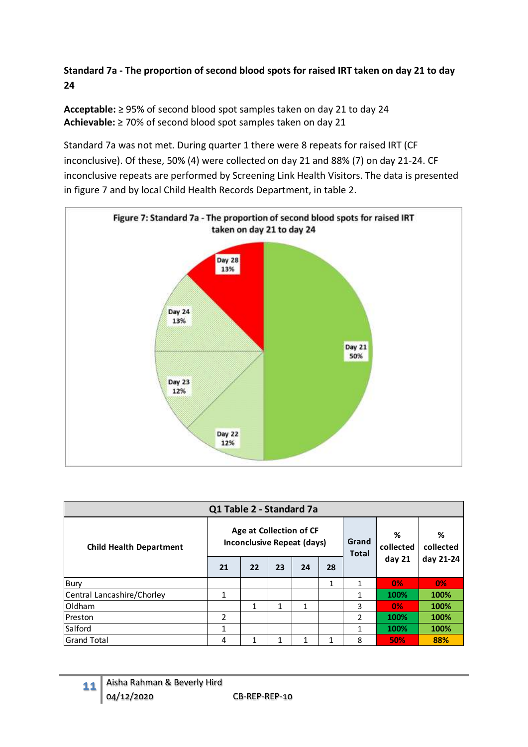**Standard 7a - The proportion of second blood spots for raised IRT taken on day 21 to day 24** 

**Acceptable:** ≥ 95% of second blood spot samples taken on day 21 to day 24 **Achievable:** ≥ 70% of second blood spot samples taken on day 21

Standard 7a was not met. During quarter 1 there were 8 repeats for raised IRT (CF inconclusive). Of these, 50% (4) were collected on day 21 and 88% (7) on day 21-24. CF inconclusive repeats are performed by Screening Link Health Visitors. The data is presented in figure 7 and by local Child Health Records Department, in table 2.



| Q1 Table 2 - Standard 7a       |    |                                                              |    |              |                       |                |                |           |  |  |
|--------------------------------|----|--------------------------------------------------------------|----|--------------|-----------------------|----------------|----------------|-----------|--|--|
| <b>Child Health Department</b> |    | Age at Collection of CF<br><b>Inconclusive Repeat (days)</b> |    |              | Grand<br><b>Total</b> | %<br>collected | %<br>collected |           |  |  |
|                                | 21 | 22                                                           | 23 | 24           | 28                    |                | day 21         | day 21-24 |  |  |
| Bury                           |    |                                                              |    |              | 1                     | $\mathbf{1}$   | 0%             | 0%        |  |  |
| Central Lancashire/Chorley     | 1  |                                                              |    |              |                       | $\mathbf{1}$   | 100%           | 100%      |  |  |
| Oldham                         |    | 1                                                            | 1  | $\mathbf{1}$ |                       | 3              | 0%             | 100%      |  |  |
| Preston                        | 2  |                                                              |    |              |                       | 2              | 100%           | 100%      |  |  |
| Salford                        | 1  |                                                              |    |              |                       | $\mathbf{1}$   | 100%           | 100%      |  |  |
| lGrand Total                   | 4  | 1                                                            | 1  |              | 1                     | 8              | 50%            | 88%       |  |  |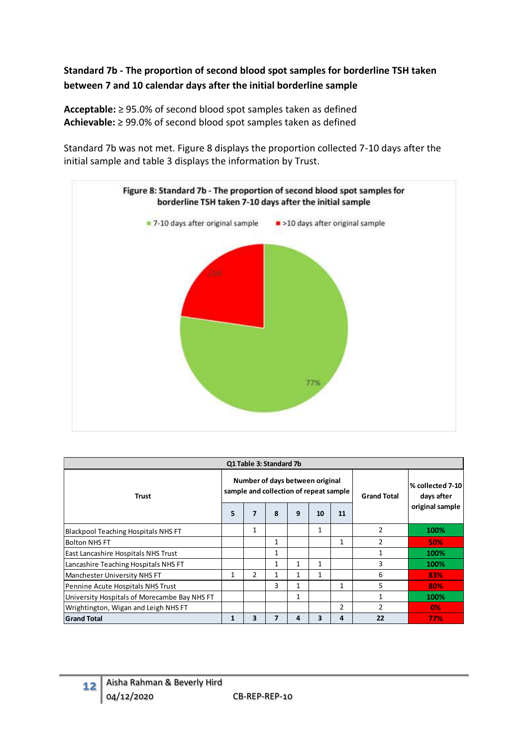## **Standard 7b - The proportion of second blood spot samples for borderline TSH taken between 7 and 10 calendar days after the initial borderline sample**

**Acceptable:** ≥ 95.0% of second blood spot samples taken as defined **Achievable:** ≥ 99.0% of second blood spot samples taken as defined

Standard 7b was not met. Figure 8 displays the proportion collected 7-10 days after the initial sample and table 3 displays the information by Trust.



| Q1 Table 3: Standard 7b                      |              |                |                         |                                                                           |                    |                                |               |                 |  |  |  |
|----------------------------------------------|--------------|----------------|-------------------------|---------------------------------------------------------------------------|--------------------|--------------------------------|---------------|-----------------|--|--|--|
| <b>Trust</b>                                 |              |                |                         | Number of days between original<br>sample and collection of repeat sample | <b>Grand Total</b> | % collected 7-10<br>days after |               |                 |  |  |  |
|                                              | 5            | 7              | 8                       | 9                                                                         | 10                 | 11                             |               | original sample |  |  |  |
| Blackpool Teaching Hospitals NHS FT          |              | 1              |                         |                                                                           | 1                  |                                | 2             | 100%            |  |  |  |
| <b>Bolton NHS FT</b>                         |              |                | 1                       |                                                                           |                    | 1                              | 2             | 50%             |  |  |  |
| <b>East Lancashire Hospitals NHS Trust</b>   |              |                | 1                       |                                                                           |                    |                                |               | 100%            |  |  |  |
| Lancashire Teaching Hospitals NHS FT         |              |                | 1                       | 1                                                                         | 1                  |                                | 3             | 100%            |  |  |  |
| Manchester University NHS FT                 | 1            | $\overline{2}$ |                         | 1                                                                         | 1                  |                                | 6             | 83%             |  |  |  |
| Pennine Acute Hospitals NHS Trust            |              |                | 3                       | $\mathbf{1}$                                                              |                    | 1                              | 5             | 80%             |  |  |  |
| University Hospitals of Morecambe Bay NHS FT |              |                |                         | 1                                                                         |                    |                                |               | 100%            |  |  |  |
| Wrightington, Wigan and Leigh NHS FT         |              |                |                         |                                                                           |                    | 2                              | $\mathcal{P}$ | $0\%$           |  |  |  |
| <b>Grand Total</b>                           | $\mathbf{1}$ | 3              | $\overline{\mathbf{z}}$ | 4                                                                         | 3                  | 4                              | 22            | 77%             |  |  |  |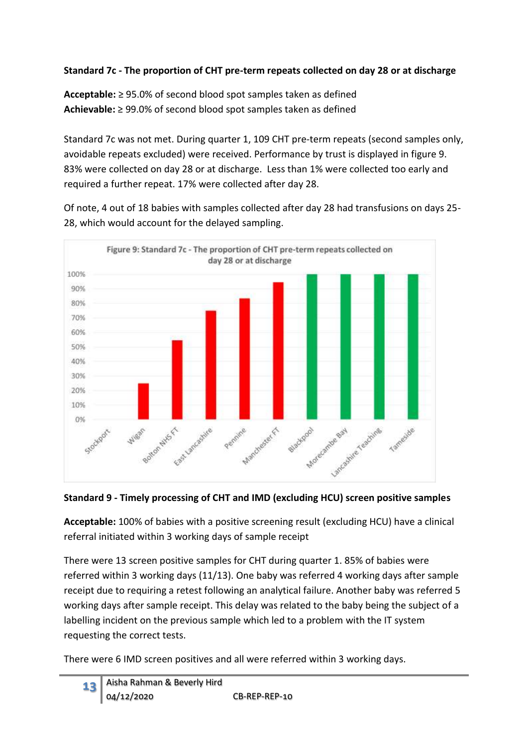## **Standard 7c - The proportion of CHT pre-term repeats collected on day 28 or at discharge**

**Acceptable:** ≥ 95.0% of second blood spot samples taken as defined **Achievable:** ≥ 99.0% of second blood spot samples taken as defined

Standard 7c was not met. During quarter 1, 109 CHT pre-term repeats (second samples only, avoidable repeats excluded) were received. Performance by trust is displayed in figure 9. 83% were collected on day 28 or at discharge. Less than 1% were collected too early and required a further repeat. 17% were collected after day 28.

Of note, 4 out of 18 babies with samples collected after day 28 had transfusions on days 25- 28, which would account for the delayed sampling.



**Standard 9 - Timely processing of CHT and IMD (excluding HCU) screen positive samples**

**Acceptable:** 100% of babies with a positive screening result (excluding HCU) have a clinical referral initiated within 3 working days of sample receipt

There were 13 screen positive samples for CHT during quarter 1. 85% of babies were referred within 3 working days (11/13). One baby was referred 4 working days after sample receipt due to requiring a retest following an analytical failure. Another baby was referred 5 working days after sample receipt. This delay was related to the baby being the subject of a labelling incident on the previous sample which led to a problem with the IT system requesting the correct tests.

There were 6 IMD screen positives and all were referred within 3 working days.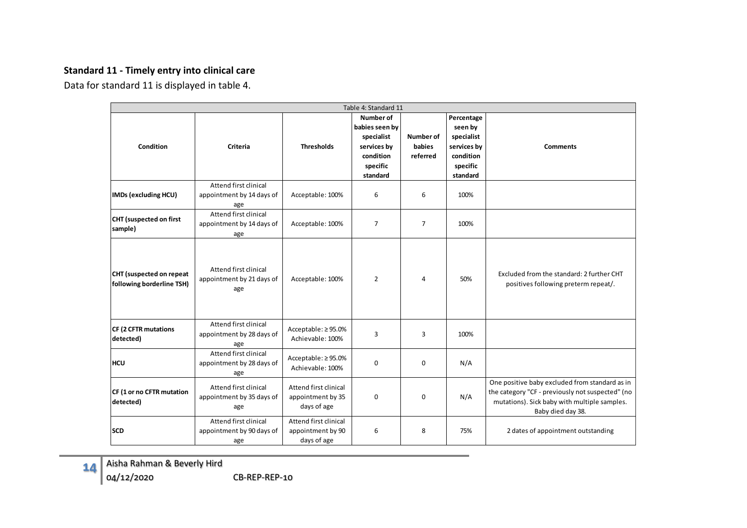#### **Standard 11 - Timely entry into clinical care**

Data for standard 11 is displayed in table 4.

| Table 4: Standard 11                                  |                                                           |                                                           |                                                                                               |                                        |                                                                                         |                                                                                                                                                                         |  |  |  |  |  |  |  |
|-------------------------------------------------------|-----------------------------------------------------------|-----------------------------------------------------------|-----------------------------------------------------------------------------------------------|----------------------------------------|-----------------------------------------------------------------------------------------|-------------------------------------------------------------------------------------------------------------------------------------------------------------------------|--|--|--|--|--|--|--|
| Condition                                             | <b>Criteria</b>                                           | <b>Thresholds</b>                                         | Number of<br>babies seen by<br>specialist<br>services by<br>condition<br>specific<br>standard | <b>Number of</b><br>babies<br>referred | Percentage<br>seen by<br>specialist<br>services by<br>condition<br>specific<br>standard | <b>Comments</b>                                                                                                                                                         |  |  |  |  |  |  |  |
| <b>IMDs (excluding HCU)</b>                           | Attend first clinical<br>appointment by 14 days of<br>age | Acceptable: 100%                                          | 6                                                                                             | 6                                      | 100%                                                                                    |                                                                                                                                                                         |  |  |  |  |  |  |  |
| CHT (suspected on first<br>sample)                    | Attend first clinical<br>appointment by 14 days of<br>age | Acceptable: 100%                                          | $\overline{7}$                                                                                | $\overline{7}$                         | 100%                                                                                    |                                                                                                                                                                         |  |  |  |  |  |  |  |
| CHT (suspected on repeat<br>following borderline TSH) | Attend first clinical<br>appointment by 21 days of<br>age | Acceptable: 100%                                          | $\overline{2}$                                                                                | $\overline{4}$                         | 50%                                                                                     | Excluded from the standard: 2 further CHT<br>positives following preterm repeat/.                                                                                       |  |  |  |  |  |  |  |
| <b>CF (2 CFTR mutations</b><br>detected)              | Attend first clinical<br>appointment by 28 days of<br>age | Acceptable: ≥95.0%<br>Achievable: 100%                    | 3                                                                                             | 3                                      | 100%                                                                                    |                                                                                                                                                                         |  |  |  |  |  |  |  |
| <b>HCU</b>                                            | Attend first clinical<br>appointment by 28 days of<br>age | Acceptable: ≥95.0%<br>Achievable: 100%                    | 0                                                                                             | 0                                      | N/A                                                                                     |                                                                                                                                                                         |  |  |  |  |  |  |  |
| CF (1 or no CFTR mutation<br>detected)                | Attend first clinical<br>appointment by 35 days of<br>age | Attend first clinical<br>appointment by 35<br>days of age | 0                                                                                             | 0                                      | N/A                                                                                     | One positive baby excluded from standard as in<br>the category "CF - previously not suspected" (no<br>mutations). Sick baby with multiple samples.<br>Baby died day 38. |  |  |  |  |  |  |  |
| <b>SCD</b>                                            | Attend first clinical<br>appointment by 90 days of<br>age | Attend first clinical<br>appointment by 90<br>days of age | 6                                                                                             | 8                                      | 75%                                                                                     | 2 dates of appointment outstanding                                                                                                                                      |  |  |  |  |  |  |  |

**14** Aisha Rahman & Beverly Hird 04/12/2020 CB-REP-REP-10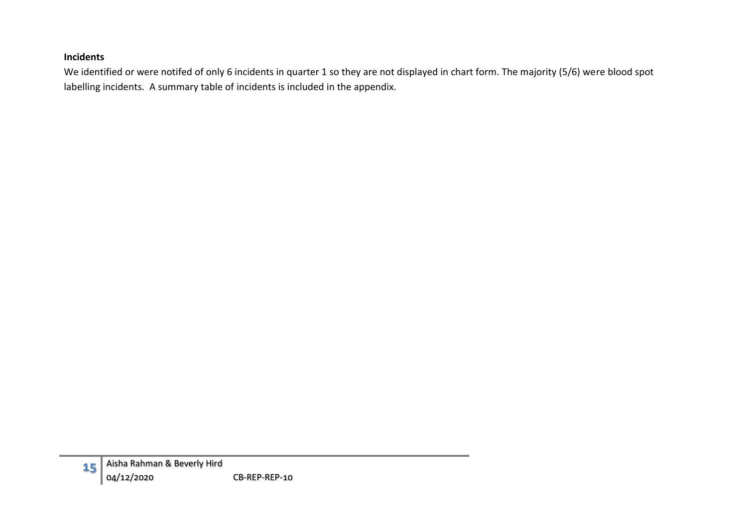#### **Incidents**

We identified or were notifed of only 6 incidents in quarter 1 so they are not displayed in chart form. The majority (5/6) were blood spot labelling incidents. A summary table of incidents is included in the appendix.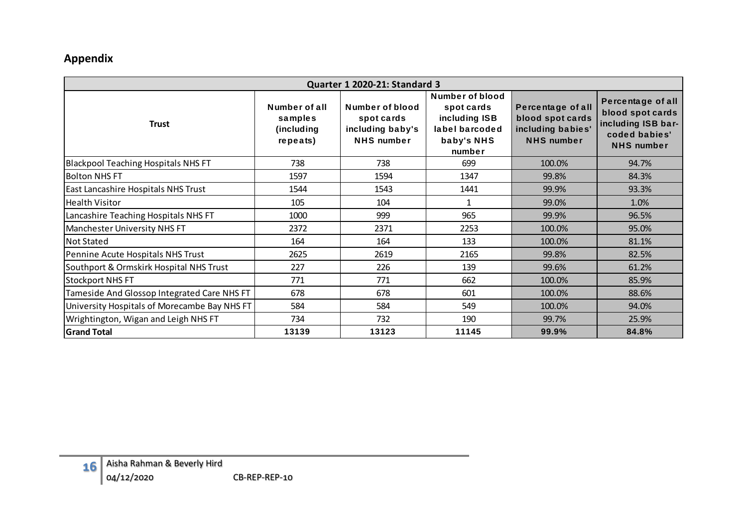## **Appendix**

| <b>Quarter 1 2020-21: Standard 3</b>         |                                                       |                                                                        |                                                                                          |                                                                                 |                                                                                                   |  |  |  |  |  |  |  |  |
|----------------------------------------------|-------------------------------------------------------|------------------------------------------------------------------------|------------------------------------------------------------------------------------------|---------------------------------------------------------------------------------|---------------------------------------------------------------------------------------------------|--|--|--|--|--|--|--|--|
| <b>Trust</b>                                 | Number of all<br>samples<br>(including<br>$rep$ eats) | Number of blood<br>spot cards<br>including baby's<br><b>NHS</b> number | Number of blood<br>spot cards<br>including ISB<br>label barcoded<br>baby's NHS<br>number | Percentage of all<br>blood spot cards<br>including babies'<br><b>NHS</b> number | Percentage of all<br>blood spot cards<br>including ISB bar-<br>coded babies'<br><b>NHS</b> number |  |  |  |  |  |  |  |  |
| <b>Blackpool Teaching Hospitals NHS FT</b>   | 738                                                   | 738                                                                    | 699                                                                                      | 100.0%                                                                          | 94.7%                                                                                             |  |  |  |  |  |  |  |  |
| Bolton NHS FT                                | 1597                                                  | 1594                                                                   | 1347                                                                                     | 99.8%                                                                           | 84.3%                                                                                             |  |  |  |  |  |  |  |  |
| East Lancashire Hospitals NHS Trust          | 1544                                                  | 1543                                                                   | 1441                                                                                     | 99.9%                                                                           | 93.3%                                                                                             |  |  |  |  |  |  |  |  |
| Health Visitor                               | 105                                                   | 104                                                                    | 1                                                                                        | 99.0%                                                                           | 1.0%                                                                                              |  |  |  |  |  |  |  |  |
| Lancashire Teaching Hospitals NHS FT         | 1000                                                  | 999                                                                    | 965                                                                                      | 99.9%                                                                           | 96.5%                                                                                             |  |  |  |  |  |  |  |  |
| Manchester University NHS FT                 | 2372                                                  | 2371                                                                   | 2253                                                                                     | 100.0%                                                                          | 95.0%                                                                                             |  |  |  |  |  |  |  |  |
| Not Stated                                   | 164                                                   | 164                                                                    | 133                                                                                      | 100.0%                                                                          | 81.1%                                                                                             |  |  |  |  |  |  |  |  |
| Pennine Acute Hospitals NHS Trust            | 2625                                                  | 2619                                                                   | 2165                                                                                     | 99.8%                                                                           | 82.5%                                                                                             |  |  |  |  |  |  |  |  |
| Southport & Ormskirk Hospital NHS Trust      | 227                                                   | 226                                                                    | 139                                                                                      | 99.6%                                                                           | 61.2%                                                                                             |  |  |  |  |  |  |  |  |
| <b>Stockport NHS FT</b>                      | 771                                                   | 771                                                                    | 662                                                                                      | 100.0%                                                                          | 85.9%                                                                                             |  |  |  |  |  |  |  |  |
| Tameside And Glossop Integrated Care NHS FT  | 678                                                   | 678                                                                    | 601                                                                                      | 100.0%                                                                          | 88.6%                                                                                             |  |  |  |  |  |  |  |  |
| University Hospitals of Morecambe Bay NHS FT | 584                                                   | 584                                                                    | 549                                                                                      | 100.0%                                                                          | 94.0%                                                                                             |  |  |  |  |  |  |  |  |
| Wrightington, Wigan and Leigh NHS FT         | 734                                                   | 732                                                                    | 190                                                                                      | 99.7%                                                                           | 25.9%                                                                                             |  |  |  |  |  |  |  |  |
| <b>Grand Total</b>                           | 13139                                                 | 13123                                                                  | 11145                                                                                    | 99.9%                                                                           | 84.8%                                                                                             |  |  |  |  |  |  |  |  |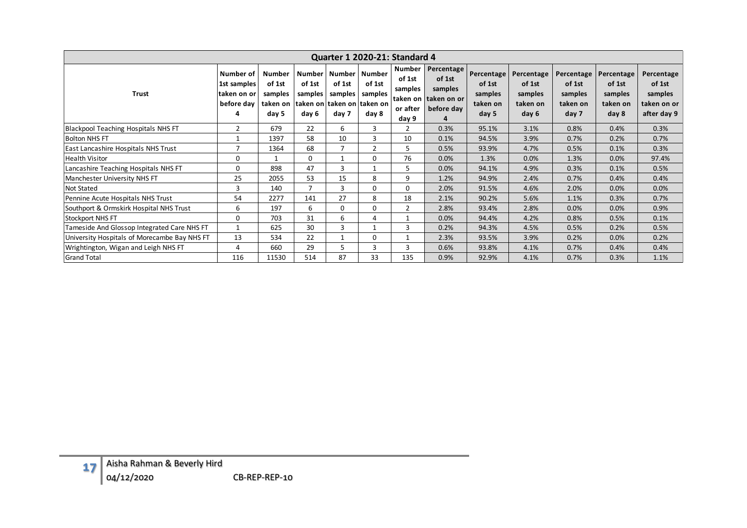| Quarter 1 2020-21: Standard 4 |                                              |                                                            |                                                         |                                                         |                            |                                                                  |                                                                     |                                                                   |                                                      |                                                      |                                                      |                                                      |                                                               |
|-------------------------------|----------------------------------------------|------------------------------------------------------------|---------------------------------------------------------|---------------------------------------------------------|----------------------------|------------------------------------------------------------------|---------------------------------------------------------------------|-------------------------------------------------------------------|------------------------------------------------------|------------------------------------------------------|------------------------------------------------------|------------------------------------------------------|---------------------------------------------------------------|
|                               | <b>Trust</b>                                 | Number of<br>1st samples<br>taken on or<br>before day<br>4 | <b>Number</b><br>of 1st<br>samples<br>taken on<br>day 5 | <b>Number</b><br>of 1st<br>samples<br>taken on<br>day 6 | of 1st<br>samples<br>day 7 | Number Number<br>of 1st<br>samples<br>taken on taken on<br>day 8 | <b>Number</b><br>of 1st<br>samples<br>taken on<br>or after<br>day 9 | Percentage<br>of 1st<br>samples<br>taken on or<br>before day<br>4 | Percentage<br>of 1st<br>samples<br>taken on<br>day 5 | Percentage<br>of 1st<br>samples<br>taken on<br>day 6 | Percentage<br>of 1st<br>samples<br>taken on<br>day 7 | Percentage<br>of 1st<br>samples<br>taken on<br>day 8 | Percentage<br>of 1st<br>samples<br>taken on or<br>after day 9 |
|                               | <b>Blackpool Teaching Hospitals NHS FT</b>   | $\overline{2}$                                             | 679                                                     | 22                                                      | 6                          | 3                                                                | $\overline{2}$                                                      | 0.3%                                                              | 95.1%                                                | 3.1%                                                 | 0.8%                                                 | 0.4%                                                 | 0.3%                                                          |
| <b>Bolton NHS FT</b>          |                                              | $\mathbf{1}$                                               | 1397                                                    | 58                                                      | 10                         | 3                                                                | 10                                                                  | 0.1%                                                              | 94.5%                                                | 3.9%                                                 | 0.7%                                                 | 0.2%                                                 | 0.7%                                                          |
|                               | East Lancashire Hospitals NHS Trust          | $\overline{7}$                                             | 1364                                                    | 68                                                      | $\overline{7}$             | $\mathbf 2$                                                      | 5                                                                   | 0.5%                                                              | 93.9%                                                | 4.7%                                                 | 0.5%                                                 | 0.1%                                                 | 0.3%                                                          |
| <b>Health Visitor</b>         |                                              | $\mathbf 0$                                                | $\mathbf{1}$                                            | $\mathbf 0$                                             | $\mathbf{1}$               | 0                                                                | 76                                                                  | 0.0%                                                              | 1.3%                                                 | 0.0%                                                 | 1.3%                                                 | 0.0%                                                 | 97.4%                                                         |
|                               | Lancashire Teaching Hospitals NHS FT         | $\boldsymbol{0}$                                           | 898                                                     | 47                                                      | $\mathbf{3}$               | $\mathbf{1}$                                                     | 5                                                                   | 0.0%                                                              | 94.1%                                                | 4.9%                                                 | 0.3%                                                 | 0.1%                                                 | 0.5%                                                          |
|                               | Manchester University NHS FT                 | 25                                                         | 2055                                                    | 53                                                      | 15                         | 8                                                                | 9                                                                   | 1.2%                                                              | 94.9%                                                | 2.4%                                                 | 0.7%                                                 | 0.4%                                                 | 0.4%                                                          |
| Not Stated                    |                                              | 3                                                          | 140                                                     | $\overline{7}$                                          | $\overline{3}$             | $\mathbf 0$                                                      | $\mathbf 0$                                                         | 2.0%                                                              | 91.5%                                                | 4.6%                                                 | 2.0%                                                 | 0.0%                                                 | 0.0%                                                          |
|                               | Pennine Acute Hospitals NHS Trust            | 54                                                         | 2277                                                    | 141                                                     | 27                         | 8                                                                | 18                                                                  | 2.1%                                                              | 90.2%                                                | 5.6%                                                 | 1.1%                                                 | 0.3%                                                 | 0.7%                                                          |
|                               | Southport & Ormskirk Hospital NHS Trust      | 6                                                          | 197                                                     | 6                                                       | $\mathbf 0$                | $\mathbf 0$                                                      | $\overline{2}$                                                      | 2.8%                                                              | 93.4%                                                | 2.8%                                                 | 0.0%                                                 | 0.0%                                                 | 0.9%                                                          |
| Stockport NHS FT              |                                              | $\mathbf 0$                                                | 703                                                     | 31                                                      | 6                          | $\overline{4}$                                                   | $\mathbf{1}$                                                        | 0.0%                                                              | 94.4%                                                | 4.2%                                                 | 0.8%                                                 | 0.5%                                                 | 0.1%                                                          |
|                               | Tameside And Glossop Integrated Care NHS FT  | $\mathbf{1}$                                               | 625                                                     | 30                                                      | $\overline{3}$             | $\mathbf{1}$                                                     | 3                                                                   | 0.2%                                                              | 94.3%                                                | 4.5%                                                 | 0.5%                                                 | 0.2%                                                 | 0.5%                                                          |
|                               | University Hospitals of Morecambe Bay NHS FT | 13                                                         | 534                                                     | 22                                                      | $\mathbf{1}$               | $\pmb{0}$                                                        | $\mathbf 1$                                                         | 2.3%                                                              | 93.5%                                                | 3.9%                                                 | 0.2%                                                 | 0.0%                                                 | 0.2%                                                          |
|                               | Wrightington, Wigan and Leigh NHS FT         | $\overline{\mathbf{4}}$                                    | 660                                                     | 29                                                      | 5                          | 3                                                                | 3                                                                   | 0.6%                                                              | 93.8%                                                | 4.1%                                                 | 0.7%                                                 | 0.4%                                                 | 0.4%                                                          |
| <b>Grand Total</b>            |                                              | 116                                                        | 11530                                                   | 514                                                     | 87                         | 33                                                               | 135                                                                 | 0.9%                                                              | 92.9%                                                | 4.1%                                                 | 0.7%                                                 | 0.3%                                                 | 1.1%                                                          |
|                               |                                              |                                                            |                                                         |                                                         |                            |                                                                  |                                                                     |                                                                   |                                                      |                                                      |                                                      |                                                      |                                                               |
| 17                            | Aisha Rahman & Beverly Hird<br>04/12/2020    |                                                            | CB-REP-REP-10                                           |                                                         |                            |                                                                  |                                                                     |                                                                   |                                                      |                                                      |                                                      |                                                      |                                                               |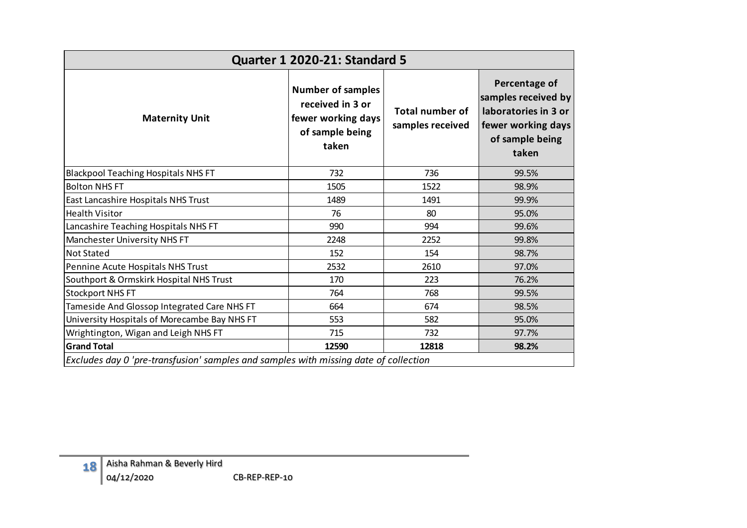| Percentage of<br><b>Number of samples</b><br>samples received by<br>received in 3 or<br>laboratories in 3 or<br><b>Total number of</b><br>fewer working days<br><b>Maternity Unit</b><br>samples received<br>fewer working days<br>of sample being<br>of sample being<br>taken<br>taken<br><b>Blackpool Teaching Hospitals NHS FT</b><br>732<br>736<br>99.5%<br><b>Bolton NHS FT</b><br>1505<br>1522<br>98.9%<br>1489<br>99.9%<br>East Lancashire Hospitals NHS Trust<br>1491<br>76<br><b>Health Visitor</b><br>80<br>95.0%<br>Lancashire Teaching Hospitals NHS FT<br>990<br>99.6%<br>994<br>Manchester University NHS FT<br>2252<br>99.8%<br>2248<br><b>Not Stated</b><br>152<br>154<br>98.7%<br>Pennine Acute Hospitals NHS Trust<br>2532<br>2610<br>97.0%<br>Southport & Ormskirk Hospital NHS Trust<br>170<br>223<br>76.2%<br><b>Stockport NHS FT</b><br>764<br>768<br>99.5%<br>Tameside And Glossop Integrated Care NHS FT<br>664<br>674<br>98.5%<br>University Hospitals of Morecambe Bay NHS FT<br>553<br>582<br>95.0%<br>715<br>732<br>97.7%<br>Wrightington, Wigan and Leigh NHS FT<br><b>Grand Total</b><br>12590<br>12818<br>98.2%<br>Excludes day 0 'pre-transfusion' samples and samples with missing date of collection | Quarter 1 2020-21: Standard 5 |  |  |  |  |  |  |  |  |  |  |  |  |
|----------------------------------------------------------------------------------------------------------------------------------------------------------------------------------------------------------------------------------------------------------------------------------------------------------------------------------------------------------------------------------------------------------------------------------------------------------------------------------------------------------------------------------------------------------------------------------------------------------------------------------------------------------------------------------------------------------------------------------------------------------------------------------------------------------------------------------------------------------------------------------------------------------------------------------------------------------------------------------------------------------------------------------------------------------------------------------------------------------------------------------------------------------------------------------------------------------------------------------------|-------------------------------|--|--|--|--|--|--|--|--|--|--|--|--|
|                                                                                                                                                                                                                                                                                                                                                                                                                                                                                                                                                                                                                                                                                                                                                                                                                                                                                                                                                                                                                                                                                                                                                                                                                                        |                               |  |  |  |  |  |  |  |  |  |  |  |  |
|                                                                                                                                                                                                                                                                                                                                                                                                                                                                                                                                                                                                                                                                                                                                                                                                                                                                                                                                                                                                                                                                                                                                                                                                                                        |                               |  |  |  |  |  |  |  |  |  |  |  |  |
|                                                                                                                                                                                                                                                                                                                                                                                                                                                                                                                                                                                                                                                                                                                                                                                                                                                                                                                                                                                                                                                                                                                                                                                                                                        |                               |  |  |  |  |  |  |  |  |  |  |  |  |
|                                                                                                                                                                                                                                                                                                                                                                                                                                                                                                                                                                                                                                                                                                                                                                                                                                                                                                                                                                                                                                                                                                                                                                                                                                        |                               |  |  |  |  |  |  |  |  |  |  |  |  |
|                                                                                                                                                                                                                                                                                                                                                                                                                                                                                                                                                                                                                                                                                                                                                                                                                                                                                                                                                                                                                                                                                                                                                                                                                                        |                               |  |  |  |  |  |  |  |  |  |  |  |  |
|                                                                                                                                                                                                                                                                                                                                                                                                                                                                                                                                                                                                                                                                                                                                                                                                                                                                                                                                                                                                                                                                                                                                                                                                                                        |                               |  |  |  |  |  |  |  |  |  |  |  |  |
|                                                                                                                                                                                                                                                                                                                                                                                                                                                                                                                                                                                                                                                                                                                                                                                                                                                                                                                                                                                                                                                                                                                                                                                                                                        |                               |  |  |  |  |  |  |  |  |  |  |  |  |
|                                                                                                                                                                                                                                                                                                                                                                                                                                                                                                                                                                                                                                                                                                                                                                                                                                                                                                                                                                                                                                                                                                                                                                                                                                        |                               |  |  |  |  |  |  |  |  |  |  |  |  |
|                                                                                                                                                                                                                                                                                                                                                                                                                                                                                                                                                                                                                                                                                                                                                                                                                                                                                                                                                                                                                                                                                                                                                                                                                                        |                               |  |  |  |  |  |  |  |  |  |  |  |  |
|                                                                                                                                                                                                                                                                                                                                                                                                                                                                                                                                                                                                                                                                                                                                                                                                                                                                                                                                                                                                                                                                                                                                                                                                                                        |                               |  |  |  |  |  |  |  |  |  |  |  |  |
|                                                                                                                                                                                                                                                                                                                                                                                                                                                                                                                                                                                                                                                                                                                                                                                                                                                                                                                                                                                                                                                                                                                                                                                                                                        |                               |  |  |  |  |  |  |  |  |  |  |  |  |
|                                                                                                                                                                                                                                                                                                                                                                                                                                                                                                                                                                                                                                                                                                                                                                                                                                                                                                                                                                                                                                                                                                                                                                                                                                        |                               |  |  |  |  |  |  |  |  |  |  |  |  |
|                                                                                                                                                                                                                                                                                                                                                                                                                                                                                                                                                                                                                                                                                                                                                                                                                                                                                                                                                                                                                                                                                                                                                                                                                                        |                               |  |  |  |  |  |  |  |  |  |  |  |  |
|                                                                                                                                                                                                                                                                                                                                                                                                                                                                                                                                                                                                                                                                                                                                                                                                                                                                                                                                                                                                                                                                                                                                                                                                                                        |                               |  |  |  |  |  |  |  |  |  |  |  |  |
|                                                                                                                                                                                                                                                                                                                                                                                                                                                                                                                                                                                                                                                                                                                                                                                                                                                                                                                                                                                                                                                                                                                                                                                                                                        |                               |  |  |  |  |  |  |  |  |  |  |  |  |
|                                                                                                                                                                                                                                                                                                                                                                                                                                                                                                                                                                                                                                                                                                                                                                                                                                                                                                                                                                                                                                                                                                                                                                                                                                        |                               |  |  |  |  |  |  |  |  |  |  |  |  |
|                                                                                                                                                                                                                                                                                                                                                                                                                                                                                                                                                                                                                                                                                                                                                                                                                                                                                                                                                                                                                                                                                                                                                                                                                                        |                               |  |  |  |  |  |  |  |  |  |  |  |  |
| Aisha Rahman & Beverly Hird<br>18<br>04/12/2020<br>CB-REP-REP-10                                                                                                                                                                                                                                                                                                                                                                                                                                                                                                                                                                                                                                                                                                                                                                                                                                                                                                                                                                                                                                                                                                                                                                       |                               |  |  |  |  |  |  |  |  |  |  |  |  |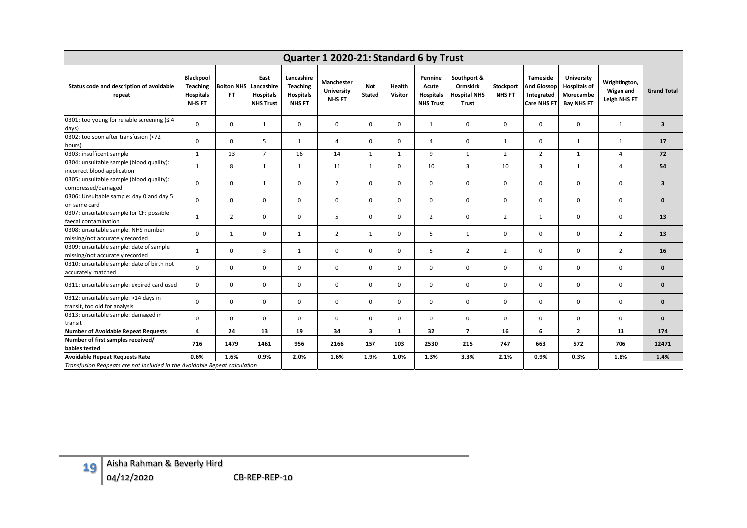| Quarter 1 2020-21: Standard 6 by Trust                                     |                                                            |                          |                                                            |                                                                    |                                                  |                         |                          |                                                          |                                                                |                            |                                                                    |                                                                            |                                            |                    |
|----------------------------------------------------------------------------|------------------------------------------------------------|--------------------------|------------------------------------------------------------|--------------------------------------------------------------------|--------------------------------------------------|-------------------------|--------------------------|----------------------------------------------------------|----------------------------------------------------------------|----------------------------|--------------------------------------------------------------------|----------------------------------------------------------------------------|--------------------------------------------|--------------------|
| Status code and description of avoidable<br>repeat                         | Blackpool<br>Teaching<br><b>Hospitals</b><br><b>NHS FT</b> | <b>Bolton NHS</b><br>FT. | East<br>Lancashire<br><b>Hospitals</b><br><b>NHS Trust</b> | Lancashire<br><b>Teaching</b><br><b>Hospitals</b><br><b>NHS FT</b> | Manchester<br><b>University</b><br><b>NHS FT</b> | Not<br><b>Stated</b>    | Health<br><b>Visitor</b> | Pennine<br>Acute<br><b>Hospitals</b><br><b>NHS Trust</b> | Southport &<br><b>Ormskirk</b><br><b>Hospital NHS</b><br>Trust | Stockport<br><b>NHS FT</b> | <b>Tameside</b><br><b>And Glossop</b><br>Integrated<br>Care NHS FT | <b>University</b><br><b>Hospitals of</b><br>Morecambe<br><b>Bay NHS FT</b> | Wrightington,<br>Wigan and<br>Leigh NHS FT | <b>Grand Total</b> |
| 0301: too young for reliable screening ( $\leq 4$<br>days)                 | $\mathbf 0$                                                | $\mathbf 0$              | $\mathbf{1}$                                               | $\mathbf 0$                                                        | 0                                                | $\mathbf 0$             | $\mathbf 0$              | $\mathbf{1}$                                             | $\pmb{0}$                                                      | $\mathbf 0$                | $\mathsf 0$                                                        | 0                                                                          | $\mathbf{1}$                               | $\mathbf{3}$       |
| 0302: too soon after transfusion (<72<br>hours)                            | $\mathbf{0}$                                               | $\mathbf 0$              | 5                                                          | $\mathbf{1}$                                                       | 4                                                | $\mathbf 0$             | $\mathbf 0$              | $\overline{4}$                                           | $\mathbf 0$                                                    | $\mathbf{1}$               | $\Omega$                                                           | $\mathbf{1}$                                                               | 1                                          | 17                 |
| 0303: insufficent sample                                                   | $\mathbf{1}$                                               | 13                       | $\overline{7}$                                             | 16                                                                 | 14                                               | $\mathbf{1}$            | $\mathbf{1}$             | 9                                                        | 1                                                              | $\overline{2}$             | $\overline{2}$                                                     | $\mathbf{1}$                                                               | $\overline{4}$                             | 72                 |
| 0304: unsuitable sample (blood quality):<br>incorrect blood application    | $\mathbf{1}$                                               | 8                        | $\mathbf{1}$                                               | $\mathbf{1}$                                                       | 11                                               | $\mathbf{1}$            | $\mathbf 0$              | 10                                                       | 3                                                              | 10                         | 3                                                                  | $\mathbf{1}$                                                               | $\overline{4}$                             | 54                 |
| 0305: unsuitable sample (blood quality):<br>compressed/damaged             | $\mathbf 0$                                                | $\mathbf 0$              | $\mathbf{1}$                                               | 0                                                                  | $\overline{2}$                                   | $\mathbf 0$             | $\mathbf 0$              | $\mathbf 0$                                              | $\mathbf 0$                                                    | $\mathbf 0$                | $\mathbf 0$                                                        | $\mathbf 0$                                                                | $\mathbf 0$                                | 3                  |
| 0306: Unsuitable sample: day 0 and day 5<br>on same card                   | $\mathbf 0$                                                | 0                        | $\mathbf 0$                                                | $\mathbf 0$                                                        | 0                                                | $\mathbf 0$             | $\mathbf 0$              | $\mathbf 0$                                              | $\pmb{0}$                                                      | $\mathbf 0$                | $\mathbf 0$                                                        | 0                                                                          | $\mathsf 0$                                | $\mathbf 0$        |
| 0307: unsuitable sample for CF: possible<br>faecal contamination           | $\mathbf{1}$                                               | $\overline{2}$           | $\mathbf 0$                                                | $\mathbf{0}$                                                       | 5                                                | $\mathbf 0$             | $\mathbf 0$              | $\overline{2}$                                           | $\mathbf{0}$                                                   | $\overline{2}$             | $\mathbf{1}$                                                       | $\mathbf 0$                                                                | $\mathsf 0$                                | 13                 |
| 0308: unsuitable sample: NHS number<br>missing/not accurately recorded     | $\mathbf 0$                                                | $\mathbf{1}$             | $\mathsf 0$                                                | $\mathbf{1}$                                                       | $\overline{2}$                                   | $\mathbf{1}$            | $\pmb{0}$                | 5                                                        | 1                                                              | $\mathsf 0$                | $\mathsf 0$                                                        | $\mathsf 0$                                                                | $\overline{2}$                             | 13                 |
| 0309: unsuitable sample: date of sample<br>missing/not accurately recorded | $\mathbf{1}$                                               | $\mathbf 0$              | 3                                                          | $\mathbf{1}$                                                       | 0                                                | $\mathbf 0$             | $\mathbf 0$              | 5                                                        | $\overline{2}$                                                 | $\overline{2}$             | $\mathbf 0$                                                        | $\mathbf 0$                                                                | $\overline{2}$                             | 16                 |
| 0310: unsuitable sample: date of birth not<br>accurately matched           | $\pmb{0}$                                                  | $\mathbf 0$              | $\mathbf 0$                                                | $\mathbf 0$                                                        | 0                                                | $\mathbf 0$             | $\mathbf 0$              | $\mathbf 0$                                              | $\mathbf 0$                                                    | $\mathbf 0$                | $\mathbf 0$                                                        | $\mathbf 0$                                                                | $\mathbf 0$                                | $\mathbf 0$        |
| 0311: unsuitable sample: expired card used                                 | $\mathbf 0$                                                | $\mathbf 0$              | $\mathbf 0$                                                | $\mathbf 0$                                                        | 0                                                | $\mathbf 0$             | $\mathbf 0$              | $\mathbf 0$                                              | 0                                                              | $\mathbf 0$                | $\mathbf 0$                                                        | 0                                                                          | $\mathbf 0$                                | $\mathbf 0$        |
| 0312: unsuitable sample: >14 days in<br>transit, too old for analysis      | $\mathbf 0$                                                | $\mathbf 0$              | $\mathbf 0$                                                | $\mathbf{0}$                                                       | 0                                                | $\mathbf 0$             | $\mathbf 0$              | $\mathbf{0}$                                             | $\mathbf{0}$                                                   | $\mathbf 0$                | $\mathbf 0$                                                        | $\mathbf 0$                                                                | $\mathbf 0$                                | $\mathbf{0}$       |
| 0313: unsuitable sample: damaged in<br>transit                             | $\mathbf 0$                                                | $\mathbf 0$              | $\mathbf 0$                                                | $\mathbf{0}$                                                       | 0                                                | $\mathbf 0$             | $\mathbf 0$              | $\mathbf{0}$                                             | $\mathbf{0}$                                                   | $\mathbf 0$                | $\mathbf 0$                                                        | $\mathbf 0$                                                                | $\mathsf 0$                                | $\mathbf{0}$       |
| Number of Avoidable Repeat Requests                                        | $\overline{\mathbf{4}}$                                    | 24                       | 13                                                         | 19                                                                 | 34                                               | $\overline{\mathbf{3}}$ | $\mathbf 1$              | 32                                                       | $\overline{7}$                                                 | 16                         | 6                                                                  | $\mathbf{2}$                                                               | 13                                         | 174                |
| Number of first samples received/<br>babies tested                         | 716                                                        | 1479                     | 1461                                                       | 956                                                                | 2166                                             | 157                     | 103                      | 2530                                                     | 215                                                            | 747                        | 663                                                                | 572                                                                        | 706                                        | 12471              |
| <b>Avoidable Repeat Requests Rate</b>                                      | 0.6%                                                       | 1.6%                     | 0.9%                                                       | 2.0%                                                               | 1.6%                                             | 1.9%                    | 1.0%                     | 1.3%                                                     | 3.3%                                                           | 2.1%                       | 0.9%                                                               | 0.3%                                                                       | 1.8%                                       | 1.4%               |
| Transfusion Reapeats are not included in the Avoidable Repeat calculation  |                                                            |                          |                                                            |                                                                    |                                                  |                         |                          |                                                          |                                                                |                            |                                                                    |                                                                            |                                            |                    |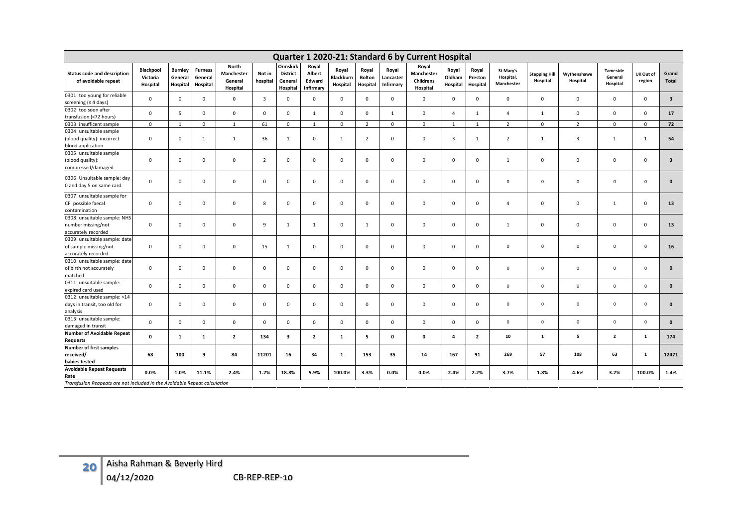|                                                                               |                                          |                                       |                                       |                                            |                    |                                                    |                                        |                                       |                                    |                                 | Quarter 1 2020-21: Standard 6 by Current Hospital |                             |                              |                                      |                                  |                         |                                 |                     |                         |
|-------------------------------------------------------------------------------|------------------------------------------|---------------------------------------|---------------------------------------|--------------------------------------------|--------------------|----------------------------------------------------|----------------------------------------|---------------------------------------|------------------------------------|---------------------------------|---------------------------------------------------|-----------------------------|------------------------------|--------------------------------------|----------------------------------|-------------------------|---------------------------------|---------------------|-------------------------|
| <b>Status code and description</b><br>of avoidable repeat                     | <b>Blackpool</b><br>Victoria<br>Hospital | <b>Burnley</b><br>General<br>Hospital | <b>Furness</b><br>General<br>Hospital | North<br>Manchester<br>General<br>Hospital | Not in<br>hospital | Ormskirk<br><b>District</b><br>General<br>Hospital | Royal<br>Albert<br>Edward<br>Infirmary | Royal<br><b>Blackburn</b><br>Hospital | Royal<br><b>Bolton</b><br>Hospital | Royal<br>Lancaster<br>Infirmary | Royal<br>Manchester<br>Childrens<br>Hospital      | Royal<br>Oldham<br>Hospital | Royal<br>Preston<br>Hospital | St Mary's<br>Hospital,<br>Manchester | <b>Stepping Hill</b><br>Hospital | Wythenshawe<br>Hospital | Tameside<br>General<br>Hospital | UK Out of<br>region | Grand<br>Total          |
| 0301: too young for reliable<br>screening $(≤ 4 days)$                        | $\mathsf 0$                              | $\mathbf 0$                           | 0                                     | $\mathbf 0$                                | 3                  | $\mathbf 0$                                        | 0                                      | $\mathbf 0$                           | $\mathbf 0$                        | $\mathbf 0$                     | 0                                                 | 0                           | $\mathbf 0$                  | $\mathbf 0$                          | $\mathbf 0$                      | $\mathbf 0$             | $\mathbf 0$                     | $\mathbf 0$         | $\overline{\mathbf{3}}$ |
| 0302: too soon after<br>transfusion (<72 hours)                               | $\mathsf 0$                              | 5 <sup>1</sup>                        | $\mathbf{0}$                          | $\mathbf 0$                                | $\mathbf 0$        | $\mathbf 0$                                        | $\mathbf{1}$                           | $\mathbf 0$                           | $\mathbf 0$                        | $\mathbf{1}$                    | $\mathbf 0$                                       | $\overline{4}$              | 1                            | $\overline{4}$                       | $\mathbf{1}$                     | $\mathsf 0$             | $\mathbf 0$                     | $\mathbf 0$         | 17                      |
| 0303: insufficent sample                                                      | $\mathbf 0$                              | $\mathbf{1}$                          | $\mathbf 0$                           | $\mathbf{1}$                               | 61                 | $\mathbf 0$                                        | <sup>1</sup>                           | $\mathbf 0$                           | $\overline{2}$                     | $\mathsf 0$                     | $\mathbf 0$                                       | $\mathbf{1}$                | 1                            | $\overline{2}$                       | $\mathbf 0$                      | $\overline{2}$          | $\mathbf 0$                     | $\mathbf 0$         | 72                      |
| 0304: unsuitable sample<br>(blood quality): incorrect<br>blood application    | $\mathbf 0$                              | $\mathsf 0$                           | <sup>1</sup>                          | $\mathbf{1}$                               | 36                 | $\mathbf{1}$                                       | $\mathbf 0$                            | $\mathbf{1}$                          | $\overline{2}$                     | $\mathsf 0$                     | 0                                                 | 3                           | $\mathbf{1}$                 | $\overline{2}$                       | $\mathbf{1}$                     | $\mathbf{3}$            | $\mathbf{1}$                    | 1                   | 54                      |
| 0305: unsuitable sample<br>(blood quality):<br>compressed/damaged             | $\mathbf 0$                              | $\mathbf 0$                           | 0                                     | $\mathbf 0$                                | $\overline{2}$     | $\mathbf 0$                                        | 0                                      | $\mathbf 0$                           | $\mathbf 0$                        | 0                               | 0                                                 | 0                           | $\mathsf 0$                  | $\mathbf{1}$                         | $\mathbf 0$                      | $\mathbf 0$             | $\mathbf 0$                     | $\mathbf 0$         | $\overline{\mathbf{3}}$ |
| 0306: Unsuitable sample: day<br>0 and day 5 on same card                      | $\mathsf 0$                              | $\mathbf 0$                           | 0                                     | $\mathbf 0$                                | 0                  | $\mathbf 0$                                        | $\mathsf 0$                            | $\mathbf 0$                           | $\mathbf 0$                        | $\mathbf 0$                     | 0                                                 | 0                           | $\mathbf 0$                  | $\mathbf 0$                          | $\mathbf 0$                      | $\mathbf 0$             | $\mathbf 0$                     | $\mathbf 0$         | $\mathbf 0$             |
| 0307: unsuitable sample for<br>CF: possible faecal<br>contamination           | $\mathsf 0$                              | $\mathbf 0$                           | $\mathbf 0$                           | $\mathbf 0$                                | 8                  | $\mathbf 0$                                        | $\mathsf 0$                            | $\mathbf 0$                           | $\mathbf 0$                        | $\mathbf 0$                     | 0                                                 | $\mathsf 0$                 | $\mathbf 0$                  | $\overline{4}$                       | $\mathbf 0$                      | $\mathbf 0$             | $\mathbf{1}$                    | $\mathbf 0$         | 13                      |
| 0308: unsuitable sample: NHS<br>number missing/not<br>accurately recorded     | $\mathsf 0$                              | $\mathbf 0$                           | 0                                     | $\mathbf 0$                                | 9                  | $\mathbf{1}$                                       | $\mathbf{1}$                           | $\mathbf 0$                           | $\mathbf{1}$                       | $\mathbf 0$                     | 0                                                 | 0                           | $\mathbf 0$                  | $\mathbf{1}$                         | $\mathbf 0$                      | $\mathbf 0$             | $\mathbf 0$                     | $\mathbf 0$         | 13                      |
| 0309: unsuitable sample: date<br>of sample missing/not<br>accurately recorded | $\mathsf 0$                              | $\mathbf 0$                           | 0                                     | $\mathbf 0$                                | 15                 | $\mathbf{1}$                                       | $\mathsf 0$                            | $\mathbf 0$                           | $\overline{0}$                     | $\mathsf 0$                     | 0                                                 | 0                           | $\mathbf 0$                  | $\mathbf 0$                          | $\Omega$                         | $\mathbf 0$             | $\mathbf 0$                     | $\overline{0}$      | 16                      |
| 0310: unsuitable sample: date<br>of birth not accurately<br>matched           | $\mathsf 0$                              | $\mathbf 0$                           | $\mathbf 0$                           | $\mathbf 0$                                | $\mathbf 0$        | $\mathbf 0$                                        | $\mathsf 0$                            | $\mathbf 0$                           | $\mathbf 0$                        | $\mathbf 0$                     | $\mathbf 0$                                       | $\mathbf 0$                 | $\mathbf 0$                  | $\mathbf 0$                          | $\mathbf 0$                      | $\mathbf 0$             | $\mathbf 0$                     | $\mathbf 0$         | $\mathbf{0}$            |
| 0311: unsuitable sample:<br>expired card used                                 | $\mathsf 0$                              | $\mathbf 0$                           | 0                                     | $\mathsf 0$                                | 0                  | $\mathbf 0$                                        | 0                                      | $\mathbf 0$                           | $\mathbf 0$                        | $\mathbf 0$                     | 0                                                 | 0                           | $\mathbf 0$                  | $\mathbf 0$                          | $\mathbf 0$                      | $\mathbf 0$             | $\mathbf 0$                     | $\mathbb O$         | $\mathbf 0$             |
| 0312: unsuitable sample: >14<br>days in transit, too old for<br>analysis      | $\mathbf 0$                              | $\mathsf 0$                           | 0                                     | $\mathbf 0$                                | $\mathsf 0$        | $\mathbf 0$                                        | $\mathbf 0$                            | $\mathbf 0$                           | $\mathbf 0$                        | $\mathbf 0$                     | 0                                                 | $\mathbf 0$                 | $\mathbf 0$                  | $\,0\,$                              | $\mathbf 0$                      | $\mathbf 0$             | $\mathbf 0$                     | $\,$ 0              | $\mathbf 0$             |
| 0313: unsuitable sample:<br>damaged in transit                                | $\mathbf 0$                              | $\mathbf 0$                           | $\mathbf{0}$                          | $\mathbf{0}$                               | $\mathbf 0$        | $\mathbf 0$                                        | $\mathbf 0$                            | $\mathbf 0$                           | $\mathbf 0$                        | $\mathbf 0$                     | $\mathbf 0$                                       | $\mathbf 0$                 | $\mathbf{0}$                 | $\mathbf 0$                          | $\mathbf 0$                      | $\mathbf 0$             | $\mathbf 0$                     | $\mathbf 0$         | $\mathbf{0}$            |
| <b>Number of Avoidable Repeat</b><br><b>Requests</b>                          | 0                                        | $\mathbf{1}$                          | 1                                     | $\overline{2}$                             | 134                | 3                                                  | $\mathbf{2}$                           | 1                                     | 5                                  | $\mathbf 0$                     | 0                                                 | 4                           | $\overline{2}$               | 10                                   | $\mathbf 1$                      | 5                       | $\overline{\mathbf{2}}$         | 1                   | 174                     |
| <b>Number of first samples</b><br>received/<br>babies tested                  | 68                                       | 100                                   | 9                                     | 84                                         | 11201              | 16                                                 | 34                                     | $\mathbf{1}$                          | 153                                | 35                              | 14                                                | 167                         | 91                           | 269                                  | 57                               | 108                     | 63                              | $\mathbf 1$         | 12471                   |
| <b>Avoidable Repeat Requests</b><br>Rate                                      | 0.0%                                     | 1.0%                                  | 11.1%                                 | 2.4%                                       | 1.2%               | 18.8%                                              | 5.9%                                   | 100.0%                                | 3.3%                               | 0.0%                            | 0.0%                                              | 2.4%                        | 2.2%                         | 3.7%                                 | 1.8%                             | 4.6%                    | 3.2%                            | 100.0%              | 1.4%                    |
| Transfusion Reapeats are not included in the Avoidable Repeat calculation     |                                          |                                       |                                       |                                            |                    |                                                    |                                        |                                       |                                    |                                 |                                                   |                             |                              |                                      |                                  |                         |                                 |                     |                         |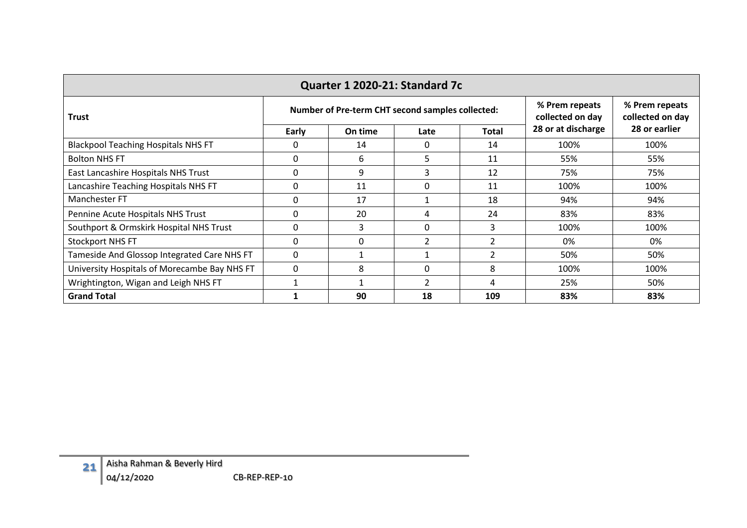| Quarter 1 2020-21: Standard 7c               |          |                                                  |                |                                    |                                    |               |  |  |  |  |  |
|----------------------------------------------|----------|--------------------------------------------------|----------------|------------------------------------|------------------------------------|---------------|--|--|--|--|--|
| <b>Trust</b>                                 |          | Number of Pre-term CHT second samples collected: |                | % Prem repeats<br>collected on day | % Prem repeats<br>collected on day |               |  |  |  |  |  |
|                                              | Early    | On time                                          | Late           | Total                              | 28 or at discharge                 | 28 or earlier |  |  |  |  |  |
| <b>Blackpool Teaching Hospitals NHS FT</b>   |          | 14                                               | $\Omega$       | 14                                 | 100%                               | 100%          |  |  |  |  |  |
| <b>Bolton NHS FT</b>                         | 0        | 6                                                | 5.             | 11                                 | 55%                                | 55%           |  |  |  |  |  |
| East Lancashire Hospitals NHS Trust          | O        | 9                                                | 3              | 12                                 | 75%                                | 75%           |  |  |  |  |  |
| Lancashire Teaching Hospitals NHS FT         |          | 11                                               | $\Omega$       | 11                                 | 100%                               | 100%          |  |  |  |  |  |
| Manchester FT                                | $\Omega$ | 17                                               |                | 18                                 | 94%                                | 94%           |  |  |  |  |  |
| Pennine Acute Hospitals NHS Trust            |          | 20                                               | 4              | 24                                 | 83%                                | 83%           |  |  |  |  |  |
| Southport & Ormskirk Hospital NHS Trust      | $\Omega$ | 3                                                | $\Omega$       | 3                                  | 100%                               | 100%          |  |  |  |  |  |
| <b>Stockport NHS FT</b>                      | $\Omega$ | 0                                                | 2              | $\overline{2}$                     | 0%                                 | 0%            |  |  |  |  |  |
| Tameside And Glossop Integrated Care NHS FT  | $\Omega$ |                                                  |                | $\overline{2}$                     | 50%                                | 50%           |  |  |  |  |  |
| University Hospitals of Morecambe Bay NHS FT | $\Omega$ | 8                                                | $\Omega$       | 8                                  | 100%                               | 100%          |  |  |  |  |  |
| Wrightington, Wigan and Leigh NHS FT         |          |                                                  | $\overline{2}$ | 4                                  | 25%                                | 50%           |  |  |  |  |  |
| <b>Grand Total</b>                           |          | 90                                               | 18             | 109                                | 83%                                | 83%           |  |  |  |  |  |